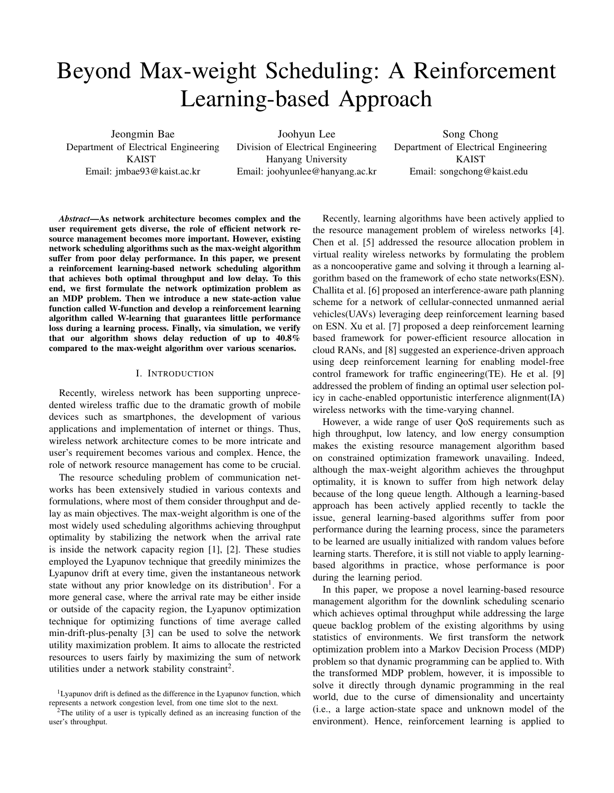# Beyond Max-weight Scheduling: A Reinforcement Learning-based Approach

Jeongmin Bae Department of Electrical Engineering KAIST Email: jmbae93@kaist.ac.kr

Joohyun Lee Division of Electrical Engineering Hanyang University Email: joohyunlee@hanyang.ac.kr

Song Chong Department of Electrical Engineering KAIST Email: songchong@kaist.edu

*Abstract*—As network architecture becomes complex and the user requirement gets diverse, the role of efficient network resource management becomes more important. However, existing network scheduling algorithms such as the max-weight algorithm suffer from poor delay performance. In this paper, we present a reinforcement learning-based network scheduling algorithm that achieves both optimal throughput and low delay. To this end, we first formulate the network optimization problem as an MDP problem. Then we introduce a new state-action value function called W-function and develop a reinforcement learning algorithm called W-learning that guarantees little performance loss during a learning process. Finally, via simulation, we verify that our algorithm shows delay reduction of up to 40.8% compared to the max-weight algorithm over various scenarios.

# I. INTRODUCTION

Recently, wireless network has been supporting unprecedented wireless traffic due to the dramatic growth of mobile devices such as smartphones, the development of various applications and implementation of internet or things. Thus, wireless network architecture comes to be more intricate and user's requirement becomes various and complex. Hence, the role of network resource management has come to be crucial.

The resource scheduling problem of communication networks has been extensively studied in various contexts and formulations, where most of them consider throughput and delay as main objectives. The max-weight algorithm is one of the most widely used scheduling algorithms achieving throughput optimality by stabilizing the network when the arrival rate is inside the network capacity region [1], [2]. These studies employed the Lyapunov technique that greedily minimizes the Lyapunov drift at every time, given the instantaneous network state without any prior knowledge on its distribution<sup>1</sup>. For a more general case, where the arrival rate may be either inside or outside of the capacity region, the Lyapunov optimization technique for optimizing functions of time average called min-drift-plus-penalty [3] can be used to solve the network utility maximization problem. It aims to allocate the restricted resources to users fairly by maximizing the sum of network utilities under a network stability constraint<sup>2</sup>.

Recently, learning algorithms have been actively applied to the resource management problem of wireless networks [4]. Chen et al. [5] addressed the resource allocation problem in virtual reality wireless networks by formulating the problem as a noncooperative game and solving it through a learning algorithm based on the framework of echo state networks(ESN). Challita et al. [6] proposed an interference-aware path planning scheme for a network of cellular-connected unmanned aerial vehicles(UAVs) leveraging deep reinforcement learning based on ESN. Xu et al. [7] proposed a deep reinforcement learning based framework for power-efficient resource allocation in cloud RANs, and [8] suggested an experience-driven approach using deep reinforcement learning for enabling model-free control framework for traffic engineering(TE). He et al. [9] addressed the problem of finding an optimal user selection policy in cache-enabled opportunistic interference alignment(IA) wireless networks with the time-varying channel.

However, a wide range of user QoS requirements such as high throughput, low latency, and low energy consumption makes the existing resource management algorithm based on constrained optimization framework unavailing. Indeed, although the max-weight algorithm achieves the throughput optimality, it is known to suffer from high network delay because of the long queue length. Although a learning-based approach has been actively applied recently to tackle the issue, general learning-based algorithms suffer from poor performance during the learning process, since the parameters to be learned are usually initialized with random values before learning starts. Therefore, it is still not viable to apply learningbased algorithms in practice, whose performance is poor during the learning period.

In this paper, we propose a novel learning-based resource management algorithm for the downlink scheduling scenario which achieves optimal throughput while addressing the large queue backlog problem of the existing algorithms by using statistics of environments. We first transform the network optimization problem into a Markov Decision Process (MDP) problem so that dynamic programming can be applied to. With the transformed MDP problem, however, it is impossible to solve it directly through dynamic programming in the real world, due to the curse of dimensionality and uncertainty (i.e., a large action-state space and unknown model of the environment). Hence, reinforcement learning is applied to

<sup>&</sup>lt;sup>1</sup>Lyapunov drift is defined as the difference in the Lyapunov function, which represents a network congestion level, from one time slot to the next.

 $2$ The utility of a user is typically defined as an increasing function of the user's throughput.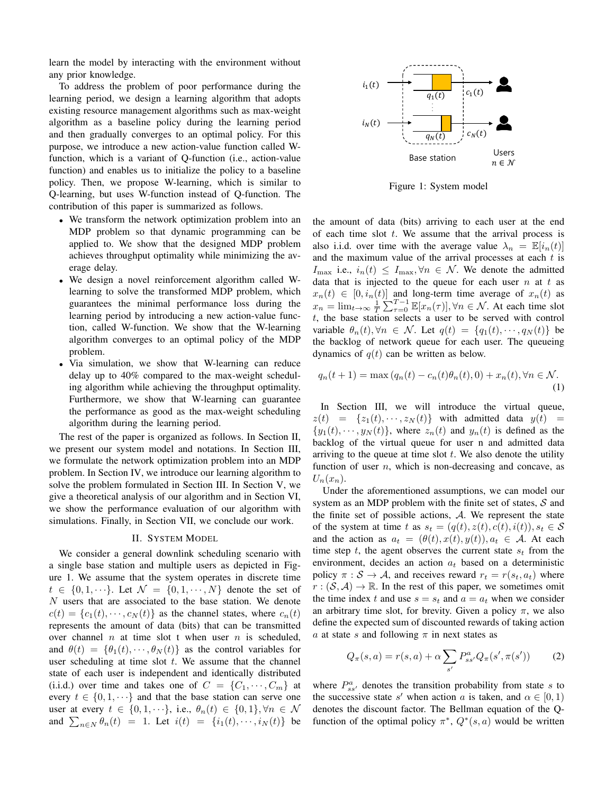learn the model by interacting with the environment without any prior knowledge.

To address the problem of poor performance during the learning period, we design a learning algorithm that adopts existing resource management algorithms such as max-weight algorithm as a baseline policy during the learning period and then gradually converges to an optimal policy. For this purpose, we introduce a new action-value function called Wfunction, which is a variant of Q-function (i.e., action-value function) and enables us to initialize the policy to a baseline policy. Then, we propose W-learning, which is similar to Q-learning, but uses W-function instead of Q-function. The contribution of this paper is summarized as follows.

- We transform the network optimization problem into an MDP problem so that dynamic programming can be applied to. We show that the designed MDP problem achieves throughput optimality while minimizing the average delay.
- We design a novel reinforcement algorithm called Wlearning to solve the transformed MDP problem, which guarantees the minimal performance loss during the learning period by introducing a new action-value function, called W-function. We show that the W-learning algorithm converges to an optimal policy of the MDP problem.
- Via simulation, we show that W-learning can reduce delay up to 40% compared to the max-weight scheduling algorithm while achieving the throughput optimality. Furthermore, we show that W-learning can guarantee the performance as good as the max-weight scheduling algorithm during the learning period.

The rest of the paper is organized as follows. In Section II, we present our system model and notations. In Section III, we formulate the network optimization problem into an MDP problem. In Section IV, we introduce our learning algorithm to solve the problem formulated in Section III. In Section V, we give a theoretical analysis of our algorithm and in Section VI, we show the performance evaluation of our algorithm with simulations. Finally, in Section VII, we conclude our work.

#### II. SYSTEM MODEL

We consider a general downlink scheduling scenario with a single base station and multiple users as depicted in Figure 1. We assume that the system operates in discrete time  $t \in \{0, 1, \dots\}$ . Let  $\mathcal{N} = \{0, 1, \dots, N\}$  denote the set of N users that are associated to the base station. We denote  $c(t) = \{c_1(t), \dots, c_N(t)\}\$ as the channel states, where  $c_n(t)$ represents the amount of data (bits) that can be transmitted over channel  $n$  at time slot t when user  $n$  is scheduled, and  $\theta(t) = {\theta_1(t), \dots, \theta_N(t)}$  as the control variables for user scheduling at time slot  $t$ . We assume that the channel state of each user is independent and identically distributed (i.i.d.) over time and takes one of  $C = \{C_1, \dots, C_m\}$  at every  $t \in \{0, 1, \dots\}$  and that the base station can serve one user at every  $t \in \{0, 1, \dots\}$ , i.e.,  $\theta_n(t) \in \{0, 1\}$ ,  $\forall n \in \mathcal{N}$ and  $\sum_{n \in \mathbb{N}} \theta_n(t) = 1$ . Let  $i(t) = \{i_1(t), \dots, i_N(t)\}\)$ 



Figure 1: System model

the amount of data (bits) arriving to each user at the end of each time slot  $t$ . We assume that the arrival process is also i.i.d. over time with the average value  $\lambda_n = \mathbb{E}[i_n(t)]$ and the maximum value of the arrival processes at each  $t$  is  $I_{\text{max}}$  i.e.,  $i_n(t) \leq I_{\text{max}}$ ,  $\forall n \in \mathcal{N}$ . We denote the admitted data that is injected to the queue for each user  $n$  at  $t$  as  $x_n(t) \in [0, i_n(t)]$  and long-term time average of  $x_n(t)$  as  $x_n = \lim_{t \to \infty} \frac{1}{T} \sum_{\tau=0}^{T-1} \mathbb{E}[x_n(\tau)], \forall n \in \mathcal{N}$ . At each time slot t, the base station selects a user to be served with control variable  $\theta_n(t), \forall n \in \mathcal{N}$ . Let  $q(t) = \{q_1(t), \dots, q_N(t)\}\$  be the backlog of network queue for each user. The queueing dynamics of  $q(t)$  can be written as below.

$$
q_n(t+1) = \max (q_n(t) - c_n(t)\theta_n(t), 0) + x_n(t), \forall n \in \mathcal{N}.
$$
\n(1)

In Section III, we will introduce the virtual queue,  $z(t) = \{z_1(t), \dots, z_N(t)\}\$  with admitted data  $y(t) =$  $\{y_1(t), \dots, y_N(t)\}\)$ , where  $z_n(t)$  and  $y_n(t)$  is defined as the backlog of the virtual queue for user n and admitted data arriving to the queue at time slot  $t$ . We also denote the utility function of user  $n$ , which is non-decreasing and concave, as  $U_n(x_n)$ .

Under the aforementioned assumptions, we can model our system as an MDP problem with the finite set of states,  $S$  and the finite set of possible actions, A. We represent the state of the system at time t as  $s_t = (q(t), z(t), c(t), i(t)), s_t \in S$ and the action as  $a_t = (\theta(t), x(t), y(t)), a_t \in \mathcal{A}$ . At each time step  $t$ , the agent observes the current state  $s_t$  from the environment, decides an action  $a_t$  based on a deterministic policy  $\pi : \mathcal{S} \to \mathcal{A}$ , and receives reward  $r_t = r(s_t, a_t)$  where  $r : (\mathcal{S}, \mathcal{A}) \to \mathbb{R}$ . In the rest of this paper, we sometimes omit the time index t and use  $s = s_t$  and  $a = a_t$  when we consider an arbitrary time slot, for brevity. Given a policy  $\pi$ , we also define the expected sum of discounted rewards of taking action a at state s and following  $\pi$  in next states as

$$
Q_{\pi}(s, a) = r(s, a) + \alpha \sum_{s'} P_{ss'}^{a} Q_{\pi}(s', \pi(s')) \tag{2}
$$

where  $P_{ss}^a$  denotes the transition probability from state s to the successive state s' when action a is taken, and  $\alpha \in [0, 1)$ denotes the discount factor. The Bellman equation of the Qfunction of the optimal policy  $\pi^*$ ,  $Q^*(s, a)$  would be written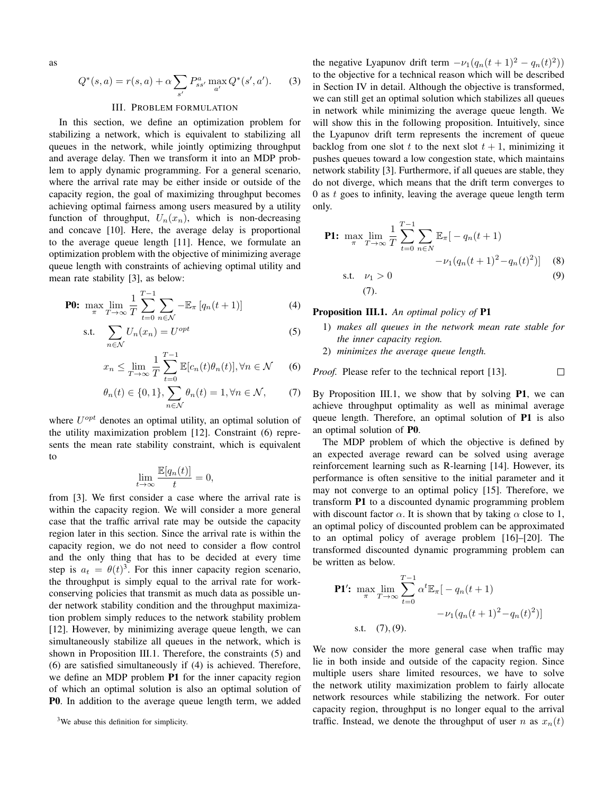as

$$
Q^*(s, a) = r(s, a) + \alpha \sum_{s'} P_{ss'}^a \max_{a'} Q^*(s', a'). \tag{3}
$$

# III. PROBLEM FORMULATION

In this section, we define an optimization problem for stabilizing a network, which is equivalent to stabilizing all queues in the network, while jointly optimizing throughput and average delay. Then we transform it into an MDP problem to apply dynamic programming. For a general scenario, where the arrival rate may be either inside or outside of the capacity region, the goal of maximizing throughput becomes achieving optimal fairness among users measured by a utility function of throughput,  $U_n(x_n)$ , which is non-decreasing and concave [10]. Here, the average delay is proportional to the average queue length [11]. Hence, we formulate an optimization problem with the objective of minimizing average queue length with constraints of achieving optimal utility and mean rate stability [3], as below:

**P0:** 
$$
\max_{\pi} \lim_{T \to \infty} \frac{1}{T} \sum_{t=0}^{T-1} \sum_{n \in \mathcal{N}} -\mathbb{E}_{\pi} [q_n(t+1)]
$$
 (4)

$$
\text{s.t.} \quad \sum_{n \in \mathcal{N}} U_n(x_n) = U^{opt} \tag{5}
$$

$$
x_n \le \lim_{T \to \infty} \frac{1}{T} \sum_{t=0}^{T-1} \mathbb{E}[c_n(t)\theta_n(t)], \forall n \in \mathcal{N} \qquad (6)
$$

$$
\theta_n(t) \in \{0, 1\}, \sum_{n \in \mathcal{N}} \theta_n(t) = 1, \forall n \in \mathcal{N}, \tag{7}
$$

where  $U^{opt}$  denotes an optimal utility, an optimal solution of the utility maximization problem [12]. Constraint (6) represents the mean rate stability constraint, which is equivalent to

$$
\lim_{t \to \infty} \frac{\mathbb{E}[q_n(t)]}{t} = 0,
$$

from [3]. We first consider a case where the arrival rate is within the capacity region. We will consider a more general case that the traffic arrival rate may be outside the capacity region later in this section. Since the arrival rate is within the capacity region, we do not need to consider a flow control and the only thing that has to be decided at every time step is  $a_t = \theta(t)^3$ . For this inner capacity region scenario, the throughput is simply equal to the arrival rate for workconserving policies that transmit as much data as possible under network stability condition and the throughput maximization problem simply reduces to the network stability problem [12]. However, by minimizing average queue length, we can simultaneously stabilize all queues in the network, which is shown in Proposition III.1. Therefore, the constraints (5) and (6) are satisfied simultaneously if (4) is achieved. Therefore, we define an MDP problem P1 for the inner capacity region of which an optimal solution is also an optimal solution of P0. In addition to the average queue length term, we added

the negative Lyapunov drift term  $-\nu_1(q_n(t+1)^2 - q_n(t)^2)$ to the objective for a technical reason which will be described in Section IV in detail. Although the objective is transformed, we can still get an optimal solution which stabilizes all queues in network while minimizing the average queue length. We will show this in the following proposition. Intuitively, since the Lyapunov drift term represents the increment of queue backlog from one slot t to the next slot  $t + 1$ , minimizing it pushes queues toward a low congestion state, which maintains network stability [3]. Furthermore, if all queues are stable, they do not diverge, which means that the drift term converges to 0 as  $t$  goes to infinity, leaving the average queue length term only.

**P1:** 
$$
\max_{\pi} \lim_{T \to \infty} \frac{1}{T} \sum_{t=0}^{T-1} \sum_{n \in N} \mathbb{E}_{\pi}[-q_n(t+1) -\nu_1(q_n(t+1)^2 - q_n(t)^2)] \quad (8)
$$
  
s.t.  $\nu_1 > 0$  (9)  
(7).

## Proposition III.1. *An optimal policy of* P1

1) *makes all queues in the network mean rate stable for the inner capacity region.*

 $\Box$ 

2) *minimizes the average queue length.*

*Proof.* Please refer to the technical report [13].

By Proposition III.1, we show that by solving **P1**, we can achieve throughput optimality as well as minimal average queue length. Therefore, an optimal solution of P1 is also an optimal solution of P0.

The MDP problem of which the objective is defined by an expected average reward can be solved using average reinforcement learning such as R-learning [14]. However, its performance is often sensitive to the initial parameter and it may not converge to an optimal policy [15]. Therefore, we transform P1 to a discounted dynamic programming problem with discount factor  $\alpha$ . It is shown that by taking  $\alpha$  close to 1, an optimal policy of discounted problem can be approximated to an optimal policy of average problem [16]–[20]. The transformed discounted dynamic programming problem can be written as below.

**P1':** 
$$
\max_{\pi} \lim_{T \to \infty} \sum_{t=0}^{T-1} \alpha^t \mathbb{E}_{\pi}[-q_n(t+1) -\nu_1(q_n(t+1)^2 - q_n(t)^2)]
$$
  
s.t. (7), (9).

We now consider the more general case when traffic may lie in both inside and outside of the capacity region. Since multiple users share limited resources, we have to solve the network utility maximization problem to fairly allocate network resources while stabilizing the network. For outer capacity region, throughput is no longer equal to the arrival traffic. Instead, we denote the throughput of user n as  $x_n(t)$ 

<sup>&</sup>lt;sup>3</sup>We abuse this definition for simplicity.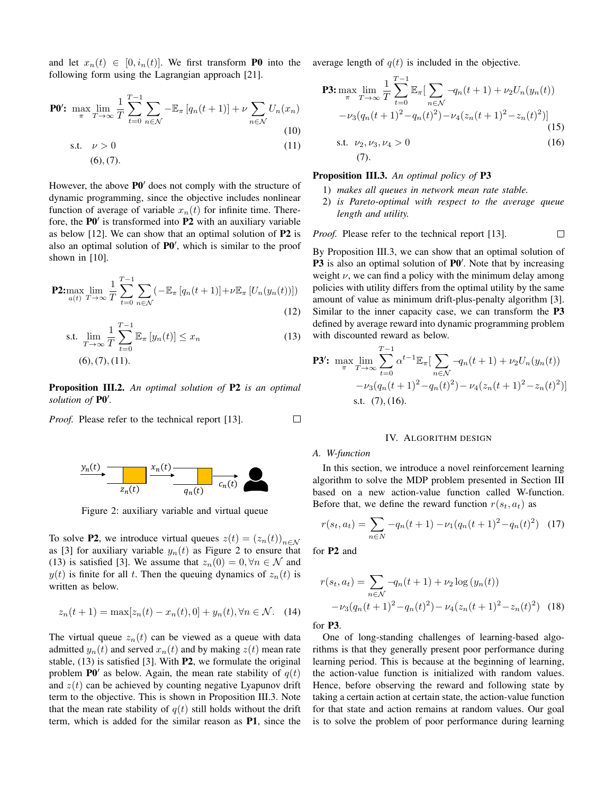and let  $x_n(t) \in [0, i_n(t)]$ . We first transform **P0** into the average length of  $q(t)$  is included in the objective. following form using the Lagrangian approach [21].

$$
\mathbf{P0':} \ \max_{\pi} \lim_{T \to \infty} \frac{1}{T} \sum_{t=0}^{T-1} \sum_{n \in \mathcal{N}} -\mathbb{E}_{\pi} \left[ q_n(t+1) \right] + \nu \sum_{n \in \mathcal{N}} U_n(x_n)
$$
\n(10)

s.t. 
$$
\nu > 0
$$
 (11)  
(6), (7).

However, the above  $P0'$  does not comply with the structure of dynamic programming, since the objective includes nonlinear function of average of variable  $x_n(t)$  for infinite time. Therefore, the  $P0'$  is transformed into  $P2$  with an auxiliary variable as below  $[12]$ . We can show that an optimal solution of **P2** is also an optimal solution of  $P0'$ , which is similar to the proof shown in [10].

$$
\mathbf{P2:} \max_{a(t)} \lim_{T \to \infty} \frac{1}{T} \sum_{t=0}^{T-1} \sum_{n \in \mathcal{N}} (-\mathbb{E}_{\pi} \left[ q_n(t+1) \right] + \nu \mathbb{E}_{\pi} \left[ U_n(y_n(t)) \right]) \tag{12}
$$

s.t. 
$$
\lim_{T \to \infty} \frac{1}{T} \sum_{t=0}^{T-1} \mathbb{E}_{\pi} [y_n(t)] \le x_n
$$
 (13)  
(6), (7), (11).

**Proposition III.2.** An optimal solution of **P2** is an optimal solution of P0'.

*Proof.* Please refer to the technical report [13].



Figure 2: auxiliary variable and virtual queue

To solve P2, we introduce virtual queues  $z(t) = (z_n(t))_{n \in \mathcal{N}}$ as [3] for auxiliary variable  $y_n(t)$  as Figure 2 to ensure that (13) is satisfied [3]. We assume that  $z_n(0) = 0, \forall n \in \mathcal{N}$  and  $y(t)$  is finite for all t. Then the queuing dynamics of  $z_n(t)$  is written as below.

$$
z_n(t+1) = \max[z_n(t) - x_n(t), 0] + y_n(t), \forall n \in \mathcal{N}.
$$
 (14)

The virtual queue  $z_n(t)$  can be viewed as a queue with data admitted  $y_n(t)$  and served  $x_n(t)$  and by making  $z(t)$  mean rate stable, (13) is satisfied [3]. With P2, we formulate the original problem  $P0'$  as below. Again, the mean rate stability of  $q(t)$ and  $z(t)$  can be achieved by counting negative Lyapunov drift term to the objective. This is shown in Proposition III.3. Note that the mean rate stability of  $q(t)$  still holds without the drift term, which is added for the similar reason as P1, since the

$$
\begin{aligned} \mathbf{P3:} \max_{\pi} \lim_{T \to \infty} \frac{1}{T} \sum_{t=0}^{T-1} \mathbb{E}_{\pi} \big[ \sum_{n \in \mathcal{N}} -q_n(t+1) + \nu_2 U_n(y_n(t)) \\ -\nu_3 (q_n(t+1)^2 - q_n(t)^2) - \nu_4 (z_n(t+1)^2 - z_n(t)^2) \big] \\ \text{s.t. } \nu_2, \nu_3, \nu_4 > 0 \end{aligned} \tag{15}
$$
\n
$$
\text{(16)}
$$

## Proposition III.3. *An optimal policy of* P3

- 1) *makes all queues in network mean rate stable.*
- 2) *is Pareto-optimal with respect to the average queue length and utility.*

 $\Box$ *Proof.* Please refer to the technical report [13].

By Proposition III.3, we can show that an optimal solution of P3 is also an optimal solution of P0'. Note that by increasing weight  $\nu$ , we can find a policy with the minimum delay among policies with utility differs from the optimal utility by the same amount of value as minimum drift-plus-penalty algorithm [3]. Similar to the inner capacity case, we can transform the P3 defined by average reward into dynamic programming problem with discounted reward as below.

**P3':** 
$$
\max_{\pi} \lim_{T \to \infty} \sum_{t=0}^{T-1} \alpha^{t-1} \mathbb{E}_{\pi} \left[ \sum_{n \in \mathcal{N}} -q_n(t+1) + \nu_2 U_n(y_n(t)) -\nu_3 (q_n(t+1)^2 - q_n(t)^2) - \nu_4 (z_n(t+1)^2 - z_n(t)^2) \right]
$$
  
s.t. (7), (16).

#### IV. ALGORITHM DESIGN

#### *A. W-function*

 $\Box$ 

In this section, we introduce a novel reinforcement learning algorithm to solve the MDP problem presented in Section III based on a new action-value function called W-function. Before that, we define the reward function  $r(s_t, a_t)$  as

$$
r(s_t, a_t) = \sum_{n \in N} -q_n(t+1) - \nu_1(q_n(t+1)^2 - q_n(t)^2) \tag{17}
$$

for P2 and

$$
r(s_t, a_t) = \sum_{n \in \mathcal{N}} -q_n(t+1) + \nu_2 \log (y_n(t))
$$

$$
-\nu_3(q_n(t+1)^2 - q_n(t)^2) - \nu_4(z_n(t+1)^2 - z_n(t)^2) \quad (18)
$$

for P3.

One of long-standing challenges of learning-based algorithms is that they generally present poor performance during learning period. This is because at the beginning of learning, the action-value function is initialized with random values. Hence, before observing the reward and following state by taking a certain action at certain state, the action-value function for that state and action remains at random values. Our goal is to solve the problem of poor performance during learning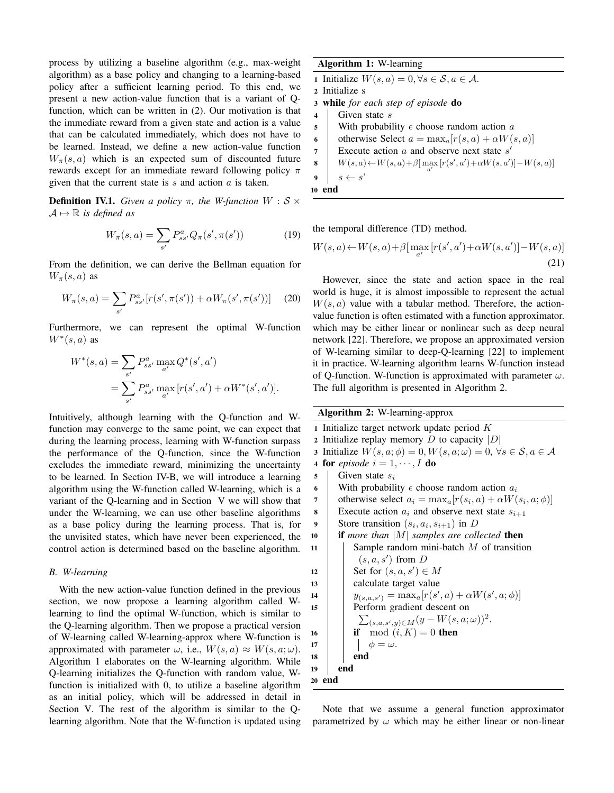process by utilizing a baseline algorithm (e.g., max-weight algorithm) as a base policy and changing to a learning-based policy after a sufficient learning period. To this end, we present a new action-value function that is a variant of Qfunction, which can be written in (2). Our motivation is that the immediate reward from a given state and action is a value that can be calculated immediately, which does not have to be learned. Instead, we define a new action-value function  $W_\pi(s, a)$  which is an expected sum of discounted future rewards except for an immediate reward following policy  $\pi$ given that the current state is  $s$  and action  $a$  is taken.

**Definition IV.1.** *Given a policy*  $\pi$ *, the W-function*  $W : \mathcal{S} \times$  $A \mapsto \mathbb{R}$  *is defined as* 

$$
W_{\pi}(s, a) = \sum_{s'} P_{ss'}^{a} Q_{\pi}(s', \pi(s')) \tag{19}
$$

From the definition, we can derive the Bellman equation for  $W_{\pi}(s, a)$  as

$$
W_{\pi}(s, a) = \sum_{s'} P_{ss'}^{a} [r(s', \pi(s')) + \alpha W_{\pi}(s', \pi(s'))]
$$
 (20)

Furthermore, we can represent the optimal W-function  $W^*(s, a)$  as

$$
W^*(s, a) = \sum_{s'} P_{ss'}^a \max_{a'} Q^*(s', a')
$$
  
= 
$$
\sum_{s'} P_{ss'}^a \max_{a'} [r(s', a') + \alpha W^*(s', a')].
$$

Intuitively, although learning with the Q-function and Wfunction may converge to the same point, we can expect that during the learning process, learning with W-function surpass the performance of the Q-function, since the W-function excludes the immediate reward, minimizing the uncertainty to be learned. In Section IV-B, we will introduce a learning algorithm using the W-function called W-learning, which is a variant of the Q-learning and in Section V we will show that under the W-learning, we can use other baseline algorithms as a base policy during the learning process. That is, for the unvisited states, which have never been experienced, the control action is determined based on the baseline algorithm.

### *B. W-learning*

With the new action-value function defined in the previous section, we now propose a learning algorithm called Wlearning to find the optimal W-function, which is similar to the Q-learning algorithm. Then we propose a practical version of W-learning called W-learning-approx where W-function is approximated with parameter  $\omega$ , i.e.,  $W(s, a) \approx W(s, a; \omega)$ . Algorithm 1 elaborates on the W-learning algorithm. While Q-learning initializes the Q-function with random value, Wfunction is initialized with 0, to utilize a baseline algorithm as an initial policy, which will be addressed in detail in Section V. The rest of the algorithm is similar to the Qlearning algorithm. Note that the W-function is updated using

| <b>Algorithm 1: W-learning</b> |  |  |
|--------------------------------|--|--|
|--------------------------------|--|--|

1 Initialize  $W(s, a) = 0, \forall s \in \mathcal{S}, a \in \mathcal{A}$ . 2 Initialize s <sup>3</sup> while *for each step of episode* do 4 Given state s 5 With probability  $\epsilon$  choose random action a 6 otherwise Select  $a = \max_a [r(s, a) + \alpha W(s, a)]$  $7 \mid$  Execute action a and observe next state s' 8  $W(s, a) \leftarrow W(s, a) + \beta \left[\max_{a'} [r(s', a') + \alpha W(s, a') - W(s, a)\right]$  $9 \mid s \leftarrow s$ 10 end

the temporal difference (TD) method.

$$
W(s,a) \leftarrow W(s,a) + \beta \left[ \max_{a'} \left[ r(s',a') + \alpha W(s,a') \right] - W(s,a) \right] \tag{21}
$$

However, since the state and action space in the real world is huge, it is almost impossible to represent the actual  $W(s, a)$  value with a tabular method. Therefore, the actionvalue function is often estimated with a function approximator. which may be either linear or nonlinear such as deep neural network [22]. Therefore, we propose an approximated version of W-learning similar to deep-Q-learning [22] to implement it in practice. W-learning algorithm learns W-function instead of Q-function. W-function is approximated with parameter  $\omega$ . The full algorithm is presented in Algorithm 2.

| <b>Algorithm 2: W-learning-approx</b>                                                               |  |  |
|-----------------------------------------------------------------------------------------------------|--|--|
| 1 Initialize target network update period $K$                                                       |  |  |
| Initialize replay memory D to capacity $ D $<br>$\overline{2}$                                      |  |  |
| 3 Initialize $W(s, a; \phi) = 0, W(s, a; \omega) = 0, \forall s \in \mathcal{S}, a \in \mathcal{A}$ |  |  |
| 4 for <i>episode</i> $i = 1, \dots, I$ do                                                           |  |  |
| Given state $s_i$<br>5                                                                              |  |  |
| With probability $\epsilon$ choose random action $a_i$<br>6                                         |  |  |
| otherwise select $a_i = \max_a [r(s_i, a) + \alpha W(s_i, a; \phi)]$<br>7                           |  |  |
| Execute action $a_i$ and observe next state $s_{i+1}$<br>8                                          |  |  |
| Store transition $(s_i, a_i, s_{i+1})$ in D<br>9                                                    |  |  |
| if more than $ M $ samples are collected then<br>10                                                 |  |  |
| Sample random mini-batch $M$ of transition<br>11                                                    |  |  |
| $(s, a, s')$ from D                                                                                 |  |  |
| Set for $(s, a, s') \in M$<br>12                                                                    |  |  |
| calculate target value<br>13                                                                        |  |  |
| $y_{(s,a,s')} = \max_a [r(s',a) + \alpha W(s',a;\phi)]$<br>14                                       |  |  |
| Perform gradient descent on<br>15                                                                   |  |  |
| $\sum_{(s,a,s',y)\in M} (y-W(s,a;\omega))^2.$                                                       |  |  |
| if mod $(i, K) = 0$ then<br>16                                                                      |  |  |
| $\phi = \omega$ .<br>17                                                                             |  |  |
| end<br>18                                                                                           |  |  |
| end<br>19                                                                                           |  |  |
| 20 end                                                                                              |  |  |

Note that we assume a general function approximator parametrized by  $\omega$  which may be either linear or non-linear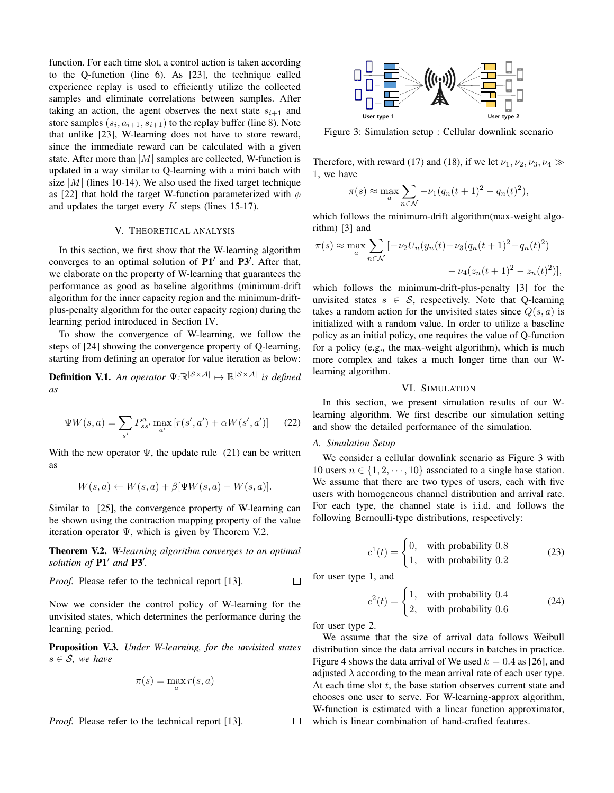function. For each time slot, a control action is taken according to the Q-function (line 6). As [23], the technique called experience replay is used to efficiently utilize the collected samples and eliminate correlations between samples. After taking an action, the agent observes the next state  $s_{i+1}$  and store samples  $(s_i, a_{i+1}, s_{i+1})$  to the replay buffer (line 8). Note that unlike [23], W-learning does not have to store reward, since the immediate reward can be calculated with a given state. After more than  $|M|$  samples are collected, W-function is updated in a way similar to Q-learning with a mini batch with size  $|M|$  (lines 10-14). We also used the fixed target technique as [22] that hold the target W-function parameterized with  $\phi$ and updates the target every  $K$  steps (lines 15-17).

# V. THEORETICAL ANALYSIS

In this section, we first show that the W-learning algorithm converges to an optimal solution of  $P1'$  and  $P3'$ . After that, we elaborate on the property of W-learning that guarantees the performance as good as baseline algorithms (minimum-drift algorithm for the inner capacity region and the minimum-driftplus-penalty algorithm for the outer capacity region) during the learning period introduced in Section IV.

To show the convergence of W-learning, we follow the steps of [24] showing the convergence property of Q-learning, starting from defining an operator for value iteration as below:

**Definition V.1.** An operator  $\Psi:\mathbb{R}^{|\mathcal{S}\times\mathcal{A}|} \mapsto \mathbb{R}^{|\mathcal{S}\times\mathcal{A}|}$  is defined *as*

$$
\Psi W(s, a) = \sum_{s'} P_{ss'}^{a} \max_{a'} [r(s', a') + \alpha W(s', a')] \tag{22}
$$

With the new operator  $\Psi$ , the update rule (21) can be written as

$$
W(s, a) \leftarrow W(s, a) + \beta[\Psi W(s, a) - W(s, a)].
$$

Similar to [25], the convergence property of W-learning can be shown using the contraction mapping property of the value iteration operator  $\Psi$ , which is given by Theorem V.2.

Theorem V.2. *W-learning algorithm converges to an optimal* solution of  $P1'$  and  $P3'$ .

*Proof.* Please refer to the technical report [13].  $\Box$ 

Now we consider the control policy of W-learning for the unvisited states, which determines the performance during the learning period.

Proposition V.3. *Under W-learning, for the unvisited states* s ∈ S*, we have*

$$
\pi(s) = \max_{a} r(s, a)
$$

*Proof.* Please refer to the technical report [13].



Figure 3: Simulation setup : Cellular downlink scenario

Therefore, with reward (17) and (18), if we let  $\nu_1, \nu_2, \nu_3, \nu_4 \gg$ 1, we have

$$
\pi(s) \approx \max_{a} \sum_{n \in \mathcal{N}} -\nu_1 (q_n(t+1)^2 - q_n(t)^2),
$$

which follows the minimum-drift algorithm (max-weight algorithm) [3] and

$$
\pi(s) \approx \max_{a} \sum_{n \in \mathcal{N}} \left[ -\nu_2 U_n(y_n(t) - \nu_3 (q_n(t+1)^2 - q_n(t)^2) - \nu_4 (z_n(t+1)^2 - z_n(t)^2) \right],
$$

which follows the minimum-drift-plus-penalty [3] for the unvisited states  $s \in S$ , respectively. Note that Q-learning takes a random action for the unvisited states since  $Q(s, a)$  is initialized with a random value. In order to utilize a baseline policy as an initial policy, one requires the value of Q-function for a policy (e.g., the max-weight algorithm), which is much more complex and takes a much longer time than our Wlearning algorithm.

#### VI. SIMULATION

In this section, we present simulation results of our Wlearning algorithm. We first describe our simulation setting and show the detailed performance of the simulation.

#### *A. Simulation Setup*

We consider a cellular downlink scenario as Figure 3 with 10 users  $n \in \{1, 2, \dots, 10\}$  associated to a single base station. We assume that there are two types of users, each with five users with homogeneous channel distribution and arrival rate. For each type, the channel state is i.i.d. and follows the following Bernoulli-type distributions, respectively:

$$
c^{1}(t) = \begin{cases} 0, & \text{with probability } 0.8\\ 1, & \text{with probability } 0.2 \end{cases}
$$
 (23)

for user type 1, and

$$
c2(t) = \begin{cases} 1, & \text{with probability } 0.4\\ 2, & \text{with probability } 0.6 \end{cases}
$$
 (24)

for user type 2.

 $\Box$ 

We assume that the size of arrival data follows Weibull distribution since the data arrival occurs in batches in practice. Figure 4 shows the data arrival of We used  $k = 0.4$  as [26], and adjusted  $\lambda$  according to the mean arrival rate of each user type. At each time slot  $t$ , the base station observes current state and chooses one user to serve. For W-learning-approx algorithm, W-function is estimated with a linear function approximator, which is linear combination of hand-crafted features.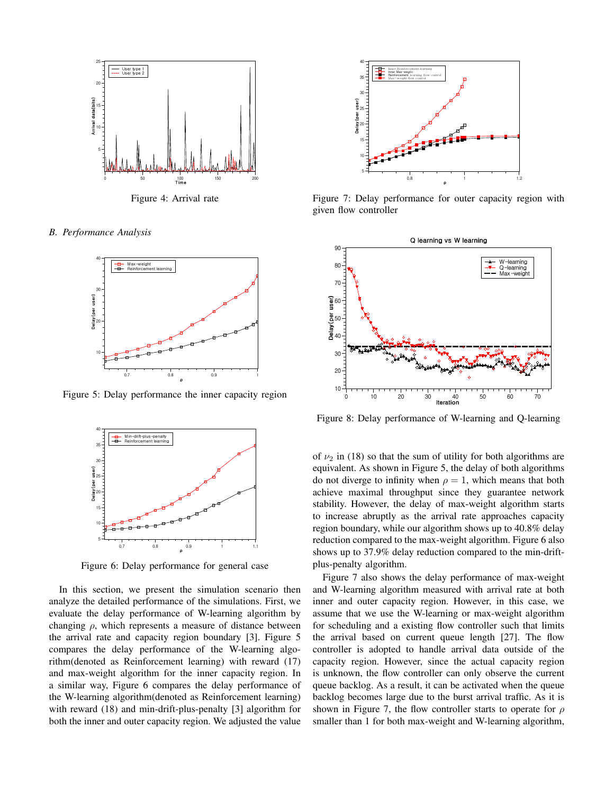

Figure 4: Arrival rate

*B. Performance Analysis*



Figure 5: Delay performance the inner capacity region



Figure 6: Delay performance for general case

In this section, we present the simulation scenario then analyze the detailed performance of the simulations. First, we evaluate the delay performance of W-learning algorithm by changing  $\rho$ , which represents a measure of distance between the arrival rate and capacity region boundary [3]. Figure 5 compares the delay performance of the W-learning algorithm(denoted as Reinforcement learning) with reward (17) and max-weight algorithm for the inner capacity region. In a similar way, Figure 6 compares the delay performance of the W-learning algorithm(denoted as Reinforcement learning) with reward (18) and min-drift-plus-penalty [3] algorithm for both the inner and outer capacity region. We adjusted the value



Figure 7: Delay performance for outer capacity region with given flow controller



Figure 8: Delay performance of W-learning and Q-learning

of  $\nu_2$  in (18) so that the sum of utility for both algorithms are equivalent. As shown in Figure 5, the delay of both algorithms do not diverge to infinity when  $\rho = 1$ , which means that both achieve maximal throughput since they guarantee network stability. However, the delay of max-weight algorithm starts to increase abruptly as the arrival rate approaches capacity region boundary, while our algorithm shows up to 40.8% delay reduction compared to the max-weight algorithm. Figure 6 also shows up to 37.9% delay reduction compared to the min-driftplus-penalty algorithm.

Figure 7 also shows the delay performance of max-weight and W-learning algorithm measured with arrival rate at both inner and outer capacity region. However, in this case, we assume that we use the W-learning or max-weight algorithm for scheduling and a existing flow controller such that limits the arrival based on current queue length [27]. The flow controller is adopted to handle arrival data outside of the capacity region. However, since the actual capacity region is unknown, the flow controller can only observe the current queue backlog. As a result, it can be activated when the queue backlog becomes large due to the burst arrival traffic. As it is shown in Figure 7, the flow controller starts to operate for  $\rho$ smaller than 1 for both max-weight and W-learning algorithm,